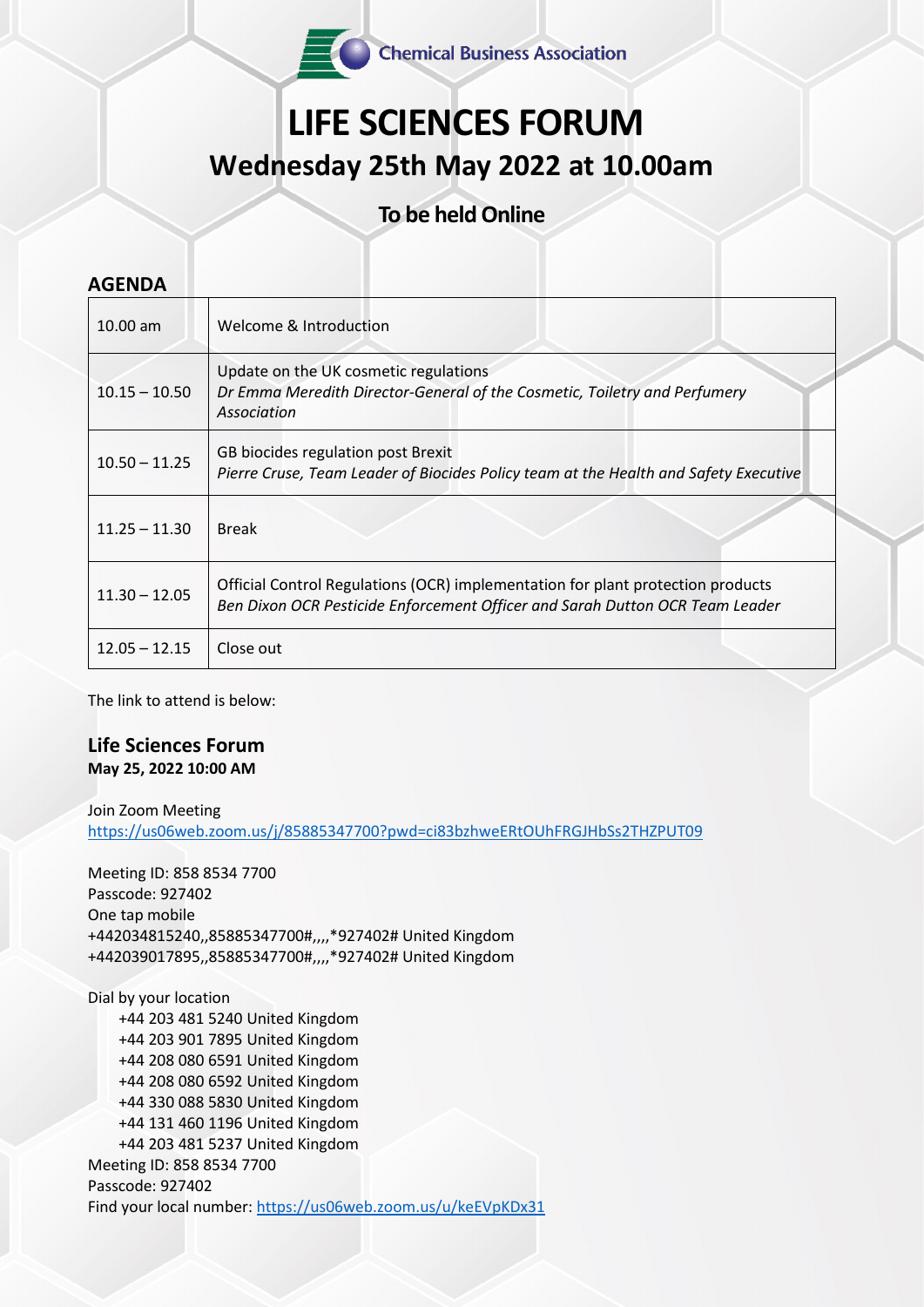Chemical Business Association

## **LIFE SCIENCES FORUM Wednesday 25th May 2022 at 10.00am**

**To be held Online** 

| <b>AGENDA</b>   |                                                                                                                                                                 |  |  |  |
|-----------------|-----------------------------------------------------------------------------------------------------------------------------------------------------------------|--|--|--|
| $10.00$ am      | Welcome & Introduction                                                                                                                                          |  |  |  |
| $10.15 - 10.50$ | Update on the UK cosmetic regulations<br>Dr Emma Meredith Director-General of the Cosmetic, Toiletry and Perfumery<br>Association                               |  |  |  |
| $10.50 - 11.25$ | GB biocides regulation post Brexit<br>Pierre Cruse, Team Leader of Biocides Policy team at the Health and Safety Executive                                      |  |  |  |
| $11.25 - 11.30$ | <b>Break</b>                                                                                                                                                    |  |  |  |
| $11.30 - 12.05$ | Official Control Regulations (OCR) implementation for plant protection products<br>Ben Dixon OCR Pesticide Enforcement Officer and Sarah Dutton OCR Team Leader |  |  |  |
| $12.05 - 12.15$ | Close out                                                                                                                                                       |  |  |  |

The link to attend is below:

## **Life Sciences Forum May 25, 2022 10:00 AM**

Join Zoom Meeting

<https://us06web.zoom.us/j/85885347700?pwd=ci83bzhweERtOUhFRGJHbSs2THZPUT09>

Meeting ID: 858 8534 7700 Passcode: 927402 One tap mobile +442034815240,,85885347700#,,,,\*927402# United Kingdom +442039017895,,85885347700#,,,,\*927402# United Kingdom

Dial by your location

 +44 203 481 5240 United Kingdom +44 203 901 7895 United Kingdom +44 208 080 6591 United Kingdom +44 208 080 6592 United Kingdom +44 330 088 5830 United Kingdom +44 131 460 1196 United Kingdom +44 203 481 5237 United Kingdom Meeting ID: 858 8534 7700 Passcode: 927402 Find your local number:<https://us06web.zoom.us/u/keEVpKDx31>